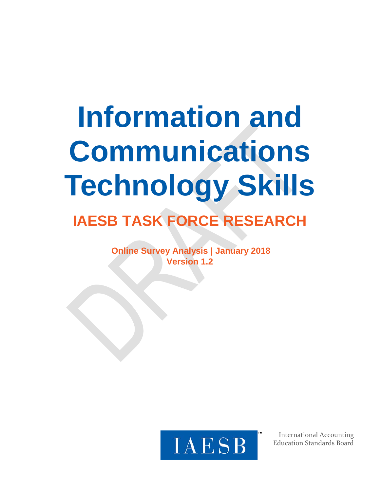# **Information and Communications Technology Skills IAESB TASK FORCE RESEARCH**

**Online Survey Analysis | January 2018 Version 1.2**



International Accounting Education Standards Board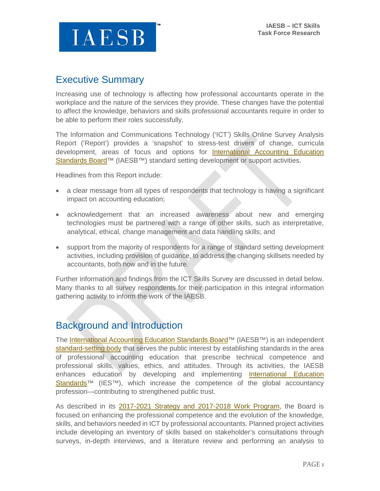

## Executive Summary

Increasing use of technology is affecting how professional accountants operate in the workplace and the nature of the services they provide. These changes have the potential to affect the knowledge, behaviors and skills professional accountants require in order to be able to perform their roles successfully.

The Information and Communications Technology ('ICT') Skills Online Survey Analysis Report ('Report') provides a 'snapshot' to stress-test drivers of change, curricula development, areas of focus and options for [International Accounting Education](https://na01.safelinks.protection.outlook.com/?url=http%3A%2F%2Fwww.iaesb.org%2F&data=02%7C01%7Cgowens%40bdo.com%7Cc653eda3dd214b16b29208d5627f92d9%7C6e57fc1a413e405091da7d2dc8543e3c%7C0%7C0%7C636523222419902772&sdata=2ZOe0KeM5ZDinrGwO9avWfy%2BAjVrzZA6EK80tXtpJQI%3D&reserved=0)  Standards Board<sup>™</sup> (IAESB<sup>™</sup>) standard setting development or support activities.

Headlines from this Report include:

- a clear message from all types of respondents that technology is having a significant impact on accounting education;
- acknowledgement that an increased awareness about new and emerging technologies must be partnered with a range of other skills, such as interpretative, analytical, ethical, change management and data handling skills; and
- support from the majority of respondents for a range of standard setting development activities, including provision of guidance, to address the changing skillsets needed by accountants, both now and in the future.

Further information and findings from the ICT Skills Survey are discussed in detail below. Many thanks to all survey respondents for their participation in this integral information gathering activity to inform the work of the IAESB.

## Background and Introduction

The [International Accounting Education Standards Board™](https://na01.safelinks.protection.outlook.com/?url=http%3A%2F%2Fwww.iaesb.org%2F&data=02%7C01%7Cgowens%40bdo.com%7Cc653eda3dd214b16b29208d5627f92d9%7C6e57fc1a413e405091da7d2dc8543e3c%7C0%7C0%7C636523222419902772&sdata=2ZOe0KeM5ZDinrGwO9avWfy%2BAjVrzZA6EK80tXtpJQI%3D&reserved=0) (IAESB<sup>™)</sup> is an independent [standard-setting body](https://na01.safelinks.protection.outlook.com/?url=http%3A%2F%2Fwww.ifac.org%2Fsystem%2Ffiles%2Fuploads%2FIAESB%2FIAESB-Fact-Sheet-2015-2.pdf&data=02%7C01%7Cgowens%40bdo.com%7Cc653eda3dd214b16b29208d5627f92d9%7C6e57fc1a413e405091da7d2dc8543e3c%7C0%7C1%7C636523222419902772&sdata=zo5YmrRU1BxjNusa6%2F1Oy%2Fr0Jpyl%2BH43CsxbVG2kLXM%3D&reserved=0) that serves the public interest by establishing standards in the area of professional accounting education that prescribe technical competence and professional skills, values, ethics, and attitudes. Through its activities, the IAESB enhances education by developing and implementing [International Education](https://na01.safelinks.protection.outlook.com/?url=http%3A%2F%2Fwww.ifac.org%2Fpublications-resources%2F2017-handbook-international-education-pronouncements&data=02%7C01%7Cgowens%40bdo.com%7Cc653eda3dd214b16b29208d5627f92d9%7C6e57fc1a413e405091da7d2dc8543e3c%7C0%7C0%7C636523222419902772&sdata=eEywDBzktgEs4O0wm%2BkuXobCLWyq4mlxdmV6zKWUbqw%3D&reserved=0)  Standards<sup>™</sup> (IES™), which increase the competence of the global accountancy profession—contributing to strengthened public trust.

As described in its [2017-2021 Strategy and 2017-2018 Work Program,](https://na01.safelinks.protection.outlook.com/?url=https%3A%2F%2Fwww.ifac.org%2Fsystem%2Ffiles%2Fpublications%2Ffiles%2FIAESB-Strategy-and-Work-Plan.pdf&data=02%7C01%7Cgowens%40bdo.com%7Cc653eda3dd214b16b29208d5627f92d9%7C6e57fc1a413e405091da7d2dc8543e3c%7C0%7C1%7C636523222419902772&sdata=pstRP69RE3bpvZ%2BKEN7%2FE65Tk5jDKZqHQdzuTSsWk7M%3D&reserved=0) the Board is focused on enhancing the professional competence and the evolution of the knowledge, skills, and behaviors needed in ICT by professional accountants. Planned project activities include developing an inventory of skills based on stakeholder's consultations through surveys, in-depth interviews, and a literature review and performing an analysis to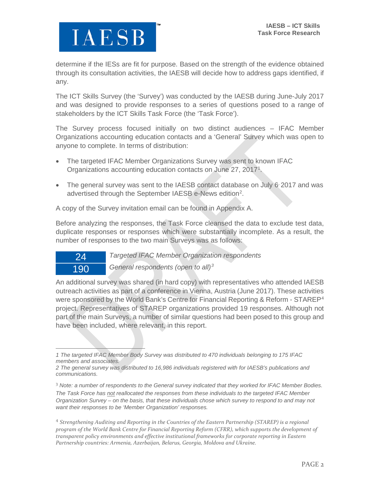

determine if the IESs are fit for purpose. Based on the strength of the evidence obtained through its consultation activities, the IAESB will decide how to address gaps identified, if any.

The ICT Skills Survey (the 'Survey') was conducted by the IAESB during June-July 2017 and was designed to provide responses to a series of questions posed to a range of stakeholders by the ICT Skills Task Force (the 'Task Force').

The Survey process focused initially on two distinct audiences – IFAC Member Organizations accounting education contacts and a 'General' Survey which was open to anyone to complete. In terms of distribution:

- The targeted IFAC Member Organizations Survey was sent to known IFAC Organizations accounting education contacts on June 27, 20[1](#page-2-0)7<sup>1</sup>.
- The general survey was sent to the IAESB contact database on July 6 2017 and was advertised through the September IAESB e-News edition<sup>[2](#page-2-1)</sup>.

A copy of the Survey invitation email can be found in Appendix A.

Before analyzing the responses, the Task Force cleansed the data to exclude test data, duplicate responses or responses which were substantially incomplete. As a result, the number of responses to the two main Surveys was as follows:

24 *Targeted IFAC Member Organization respondents*

190 *General respondents (open to all)[3](#page-2-2)*

An additional survey was shared (in hard copy) with representatives who attended IAESB outreach activities as part of a conference in Vienna, Austria (June 2017). These activities were sponsored by the World Bank's Centre for Financial Reporting & Reform - STAREP<sup>[4](#page-2-3)</sup> project. Representatives of STAREP organizations provided 19 responses. Although not part of the main Surveys, a number of similar questions had been posed to this group and have been included, where relevant, in this report.

<span id="page-2-2"></span><sup>3</sup> *Note: a number of respondents to the General survey indicated that they worked for IFAC Member Bodies. The Task Force has not reallocated the responses from these individuals to the targeted IFAC Member Organization Survey – on the basis, that these individuals chose which survey to respond to and may not want their responses to be 'Member Organization' responses.*

<span id="page-2-3"></span><sup>4</sup> *Strengthening Auditing and Reporting in the Countries of the Eastern Partnership (STAREP) is a regional program of the World Bank Centre for Financial Reporting Reform (CFRR), which supports the development of transparent policy environments and effective institutional frameworks for corporate reporting in Eastern Partnership countries: Armenia, Azerbaijan, Belarus, Georgia, Moldova and Ukraine.*

<span id="page-2-0"></span> $\overline{a}$ *1 The targeted IFAC Member Body Survey was distributed to 470 individuals belonging to 175 IFAC members and associates.*

<span id="page-2-1"></span>*<sup>2</sup> The general survey was distributed to 16,986 individuals registered with for IAESB's publications and communications.*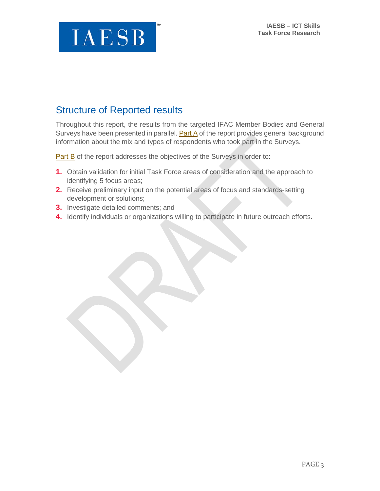

## Structure of Reported results

Throughout this report, the results from the targeted IFAC Member Bodies and General Surveys have been presented in parallel. [Part A](#page-4-0) of the report provides general background information about the mix and types of respondents who took part in the Surveys.

[Part B](#page-8-0) of the report addresses the objectives of the Surveys in order to:

- **1.** Obtain validation for initial Task Force areas of consideration and the approach to identifying 5 focus areas;
- **2.** Receive preliminary input on the potential areas of focus and standards-setting development or solutions;
- **3.** Investigate detailed comments; and
- **4.** Identify individuals or organizations willing to participate in future outreach efforts.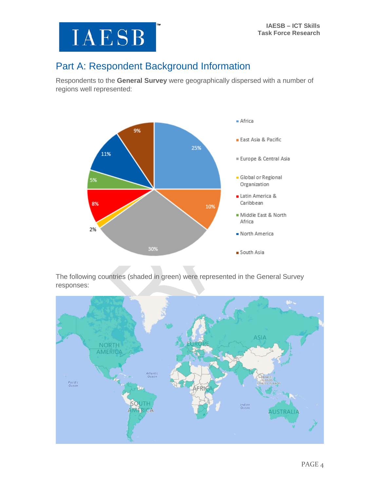

## <span id="page-4-0"></span>Part A: Respondent Background Information

Respondents to the **General Survey** were geographically dispersed with a number of regions well represented:



The following countries (shaded in green) were represented in the General Survey responses:

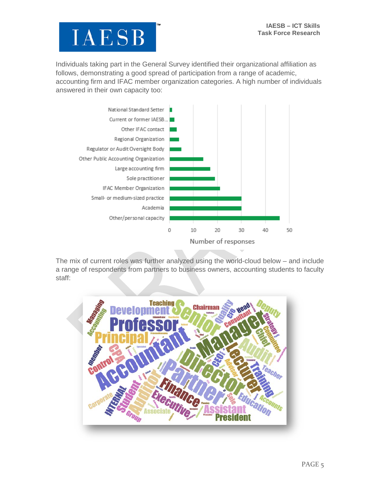

Individuals taking part in the General Survey identified their organizational affiliation as follows, demonstrating a good spread of participation from a range of academic, accounting firm and IFAC member organization categories. A high number of individuals answered in their own capacity too:



The mix of current roles was further analyzed using the world-cloud below – and include a range of respondents from partners to business owners, accounting students to faculty staff:

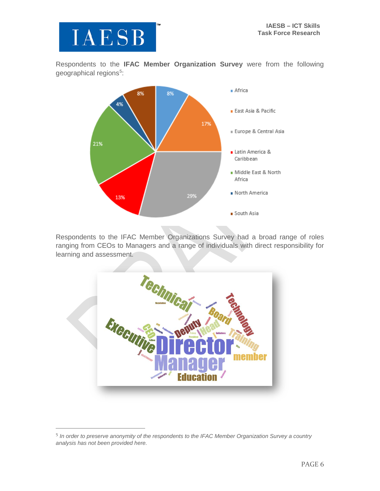Respondents to the **IFAC Member Organization Survey** were from the following geographical regions<sup>[5](#page-6-0)</sup>:



Respondents to the IFAC Member Organizations Survey had a broad range of roles ranging from CEOs to Managers and a range of individuals with direct responsibility for learning and assessment.



<span id="page-6-0"></span> <sup>5</sup> *In order to preserve anonymity of the respondents to the IFAC Member Organization Survey a country analysis has not been provided here.*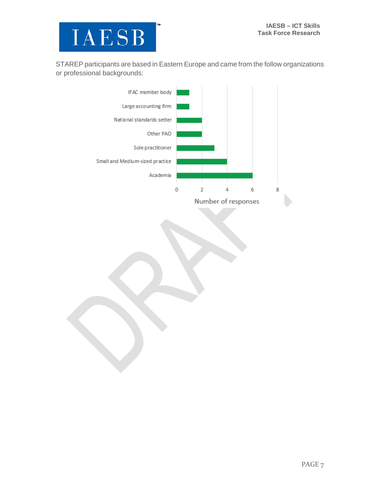

STAREP participants are based in Eastern Europe and came from the follow organizations or professional backgrounds:

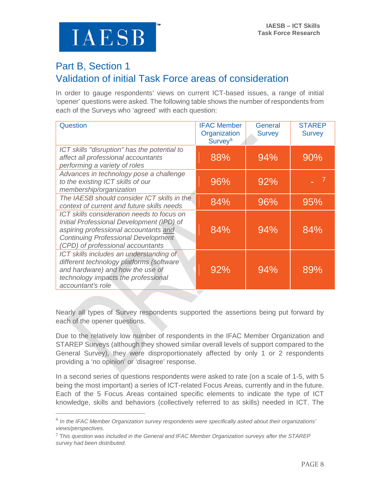**IAESB** 

## <span id="page-8-0"></span>Part B, Section 1 Validation of initial Task Force areas of consideration

In order to gauge respondents' views on current ICT-based issues, a range of initial 'opener' questions were asked. The following table shows the number of respondents from each of the Surveys who 'agreed' with each question:

| Question                                                                                                                                                                                                            | <b>IFAC Member</b><br>Organization<br>Survey <sup>6</sup> | General<br><b>Survey</b> | <b>STAREP</b><br><b>Survey</b> |
|---------------------------------------------------------------------------------------------------------------------------------------------------------------------------------------------------------------------|-----------------------------------------------------------|--------------------------|--------------------------------|
| ICT skills "disruption" has the potential to<br>affect all professional accountants<br>performing a variety of roles                                                                                                | 88%                                                       | 94%                      | 90%                            |
| Advances in technology pose a challenge<br>to the existing ICT skills of our<br>membership/organization                                                                                                             | 96%                                                       | 92%                      |                                |
| The IAESB should consider ICT skills in the<br>context of current and future skills needs                                                                                                                           | 84%                                                       | 96%                      | 95%                            |
| ICT skills consideration needs to focus on<br>Initial Professional Development (IPD) of<br>aspiring professional accountants and<br><b>Continuing Professional Development</b><br>(CPD) of professional accountants | 84%                                                       | 94%                      | 84%                            |
| ICT skills includes an understanding of<br>different technology platforms (software<br>and hardware) and how the use of<br>technology impacts the professional<br>accountant's role                                 | 92%                                                       | 94%                      | 89%                            |

Nearly all types of Survey respondents supported the assertions being put forward by each of the opener questions.

Due to the relatively low number of respondents in the IFAC Member Organization and STAREP Surveys (although they showed similar overall levels of support compared to the General Survey), they were disproportionately affected by only 1 or 2 respondents providing a 'no opinion' or 'disagree' response.

In a second series of questions respondents were asked to rate (on a scale of 1-5, with 5 being the most important) a series of ICT-related Focus Areas, currently and in the future. Each of the 5 Focus Areas contained specific elements to indicate the type of ICT knowledge, skills and behaviors (collectively referred to as skills) needed in ICT. The

<span id="page-8-1"></span> <sup>6</sup> *In the IFAC Member Organization survey respondents were specifically asked about their organizations' views/perspectives.*

<span id="page-8-2"></span><sup>7</sup> T*his question was included in the General and IFAC Member Organization surveys after the STAREP survey had been distributed.*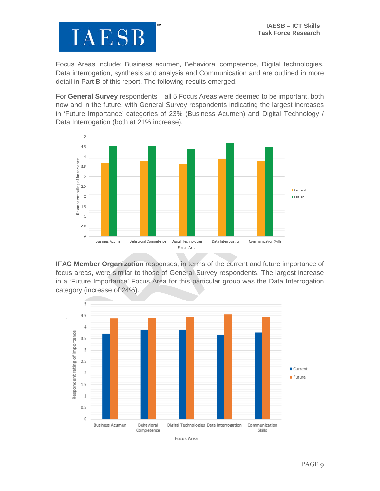

Focus Areas include: Business acumen, Behavioral competence, Digital technologies, Data interrogation, synthesis and analysis and Communication and are outlined in more detail in Part B of this report. The following results emerged.

For **General Survey** respondents – all 5 Focus Areas were deemed to be important, both now and in the future, with General Survey respondents indicating the largest increases in 'Future Importance' categories of 23% (Business Acumen) and Digital Technology / Data Interrogation (both at 21% increase).



**IFAC Member Organization** responses, in terms of the current and future importance of focus areas, were similar to those of General Survey respondents. The largest increase in a 'Future Importance' Focus Area for this particular group was the Data Interrogation category (increase of 24%).

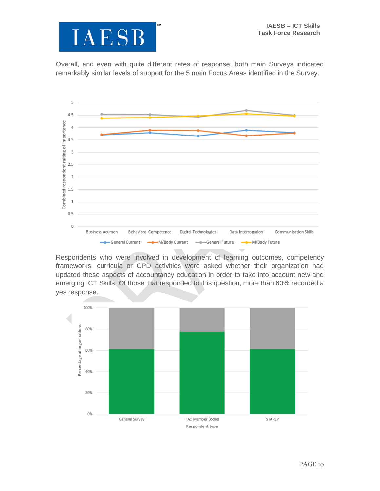

Overall, and even with quite different rates of response, both main Surveys indicated remarkably similar levels of support for the 5 main Focus Areas identified in the Survey.



Respondents who were involved in development of learning outcomes, competency frameworks, curricula or CPD activities were asked whether their organization had updated these aspects of accountancy education in order to take into account new and emerging ICT Skills. Of those that responded to this question, more than 60% recorded a yes response.

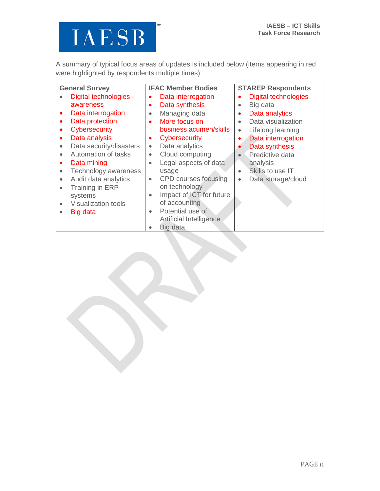

A summary of typical focus areas of updates is included below (items appearing in red were highlighted by respondents multiple times):

| <b>General Survey</b>                   | <b>IFAC Member Bodies</b>             | <b>STAREP Respondents</b>                |
|-----------------------------------------|---------------------------------------|------------------------------------------|
| Digital technologies -                  | Data interrogation<br>$\bullet$       | <b>Digital technologies</b><br>$\bullet$ |
| awareness                               | Data synthesis<br>$\bullet$           | Big data<br>$\bullet$                    |
| Data interrogation<br>$\bullet$         | Managing data<br>$\bullet$            | Data analytics<br>$\bullet$              |
| Data protection<br>$\bullet$            | More focus on<br>$\bullet$            | Data visualization<br>$\bullet$          |
| Cybersecurity                           | business acumen/skills                | Lifelong learning<br>$\bullet$           |
| Data analysis<br>$\bullet$              | Cybersecurity<br>$\bullet$            | Data interrogation<br>٠                  |
| Data security/disasters<br>$\bullet$    | Data analytics<br>$\bullet$           | Data synthesis                           |
| Automation of tasks                     | Cloud computing<br>$\bullet$          | Predictive data                          |
| Data mining<br>$\bullet$                | Legal aspects of data<br>$\bullet$    | analysis                                 |
| Technology awareness<br>$\bullet$       | usage                                 | Skills to use IT<br>$\bullet$            |
| Audit data analytics<br>$\bullet$       | CPD courses focusing<br>$\bullet$     | Data storage/cloud<br>$\bullet$          |
| Training in ERP<br>$\bullet$            | on technology                         |                                          |
| systems                                 | Impact of ICT for future<br>$\bullet$ |                                          |
| <b>Visualization tools</b><br>$\bullet$ | of accounting                         |                                          |
| Big data                                | Potential use of<br>$\bullet$         |                                          |
|                                         | <b>Artificial Intelligence</b>        |                                          |
|                                         | Big data                              |                                          |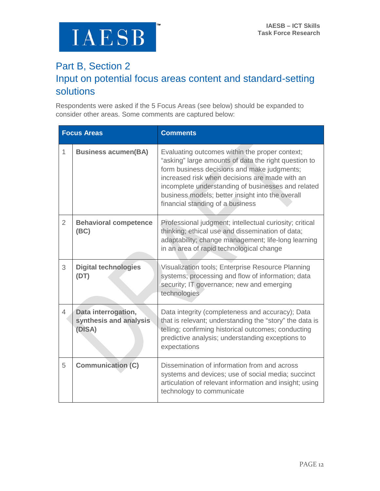

## Part B, Section 2 Input on potential focus areas content and standard-setting solutions

Respondents were asked if the 5 Focus Areas (see below) should be expanded to consider other areas. Some comments are captured below:

|                | <b>Focus Areas</b>                                      | <b>Comments</b>                                                                                                                                                                                                                                                                                                                                       |
|----------------|---------------------------------------------------------|-------------------------------------------------------------------------------------------------------------------------------------------------------------------------------------------------------------------------------------------------------------------------------------------------------------------------------------------------------|
| $\mathbf{1}$   | <b>Business acumen(BA)</b>                              | Evaluating outcomes within the proper context;<br>"asking" large amounts of data the right question to<br>form business decisions and make judgments;<br>increased risk when decisions are made with an<br>incomplete understanding of businesses and related<br>business models; better insight into the overall<br>financial standing of a business |
| $\overline{2}$ | <b>Behavioral competence</b><br>(BC)                    | Professional judgment; intellectual curiosity; critical<br>thinking; ethical use and dissemination of data;<br>adaptability; change management; life-long learning<br>in an area of rapid technological change                                                                                                                                        |
| 3              | <b>Digital technologies</b><br>(DT)                     | Visualization tools; Enterprise Resource Planning<br>systems; processing and flow of information; data<br>security; IT governance; new and emerging<br>technologies                                                                                                                                                                                   |
| 4              | Data interrogation,<br>synthesis and analysis<br>(DISA) | Data integrity (completeness and accuracy); Data<br>that is relevant; understanding the "story" the data is<br>telling; confirming historical outcomes; conducting<br>predictive analysis; understanding exceptions to<br>expectations                                                                                                                |
| 5              | <b>Communication (C)</b>                                | Dissemination of information from and across<br>systems and devices; use of social media; succinct<br>articulation of relevant information and insight; using<br>technology to communicate                                                                                                                                                            |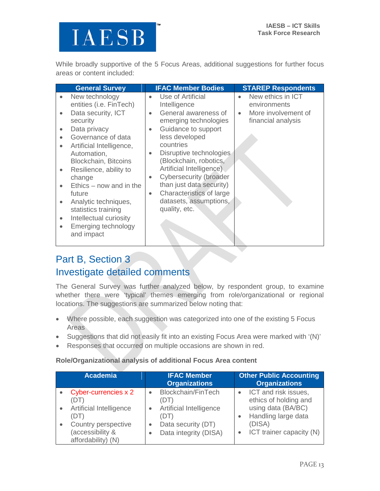While broadly supportive of the 5 Focus Areas, additional suggestions for further focus areas or content included:

|                                                                                                                   | <b>General Survey</b>                                                                                                                                                                                                                                                                                                                                                                |                                                                            | <b>IFAC Member Bodies</b>                                                                                                                                                                                                                                                                                                                              |           | <b>STAREP Respondents</b>                                                      |
|-------------------------------------------------------------------------------------------------------------------|--------------------------------------------------------------------------------------------------------------------------------------------------------------------------------------------------------------------------------------------------------------------------------------------------------------------------------------------------------------------------------------|----------------------------------------------------------------------------|--------------------------------------------------------------------------------------------------------------------------------------------------------------------------------------------------------------------------------------------------------------------------------------------------------------------------------------------------------|-----------|--------------------------------------------------------------------------------|
| $\bullet$<br>$\bullet$<br>$\bullet$<br>$\bullet$<br>$\bullet$<br>$\bullet$<br>$\bullet$<br>$\bullet$<br>$\bullet$ | New technology<br>entities (i.e. FinTech)<br>Data security, ICT<br>security<br>Data privacy<br>Governance of data<br>Artificial Intelligence,<br>Automation,<br><b>Blockchain, Bitcoins</b><br>Resilience, ability to<br>change<br>$Ethics - now$ and in the<br>future<br>Analytic techniques,<br>statistics training<br>Intellectual curiosity<br>Emerging technology<br>and impact | $\bullet$<br>$\bullet$<br>$\bullet$<br>$\bullet$<br>$\bullet$<br>$\bullet$ | Use of Artificial<br>Intelligence<br>General awareness of<br>emerging technologies<br>Guidance to support<br>less developed<br>countries<br>Disruptive technologies<br>(Blockchain, robotics,<br>Artificial Intelligence)<br>Cybersecurity (broader<br>than just data security)<br>Characteristics of large<br>datasets, assumptions,<br>quality, etc. | $\bullet$ | New ethics in ICT<br>environments<br>More involvement of<br>financial analysis |
|                                                                                                                   |                                                                                                                                                                                                                                                                                                                                                                                      |                                                                            |                                                                                                                                                                                                                                                                                                                                                        |           |                                                                                |

## Part B, Section 3 Investigate detailed comments

The General Survey was further analyzed below, by respondent group, to examine whether there were 'typical' themes emerging from role/organizational or regional locations. The suggestions are summarized below noting that:

- Where possible, each suggestion was categorized into one of the existing 5 Focus Areas
- Suggestions that did not easily fit into an existing Focus Area were marked with '(N)'
- Responses that occurred on multiple occasions are shown in red.

#### **Role/Organizational analysis of additional Focus Area content**

| <b>Academia</b>                                                       | <b>IFAC Member</b><br><b>Organizations</b>            | <b>Other Public Accounting</b><br><b>Organizations</b>              |
|-----------------------------------------------------------------------|-------------------------------------------------------|---------------------------------------------------------------------|
| Cyber-currencies x 2<br>(DT)<br><b>Artificial Intelligence</b>        | Blockchain/FinTech<br>(DT)<br>Artificial Intelligence | ICT and risk issues,<br>ethics of holding and<br>using data (BA/BC) |
| (DT)<br>Country perspective<br>(accessibility &<br>affordability) (N) | (DT)<br>Data security (DT)<br>Data integrity (DISA)   | Handling large data<br>(DISA)<br>ICT trainer capacity (N)           |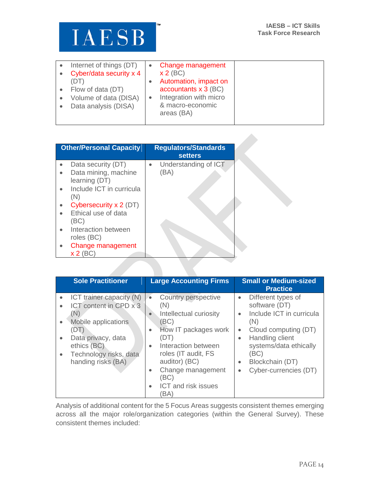

| Internet of things (DT) | Change management      |
|-------------------------|------------------------|
| Cyber/data security x 4 | $x 2$ (BC)             |
| (DT)                    | Automation, impact on  |
| Flow of data (DT)       | accountants $x$ 3 (BC) |
| Volume of data (DISA)   | Integration with micro |
| Data analysis (DISA)    | & macro-economic       |
|                         | areas (BA)             |
|                         |                        |

| <b>Other/Personal Capacity</b> | <b>Regulators/Standards</b><br><b>setters</b> |
|--------------------------------|-----------------------------------------------|
| Data security (DT)             | Understanding of ICT                          |
| Data mining, machine           | (BA)                                          |
| learning (DT)                  |                                               |
| Include ICT in curricula       |                                               |
| (N)                            |                                               |
| Cybersecurity x 2 (DT)         |                                               |
| Ethical use of data            |                                               |
| (BC)                           |                                               |
| Interaction between            |                                               |
| roles (BC)                     |                                               |
| Change management              |                                               |
| $x 2$ (BC)                     |                                               |

|                                                                              | <b>Sole Practitioner</b>                                                                                                                                       | <b>Large Accounting Firms</b>                                                                                                                                                                                                                                                                         | <b>Small or Medium-sized</b><br><b>Practice</b>                                                                                                                                                                                                                               |
|------------------------------------------------------------------------------|----------------------------------------------------------------------------------------------------------------------------------------------------------------|-------------------------------------------------------------------------------------------------------------------------------------------------------------------------------------------------------------------------------------------------------------------------------------------------------|-------------------------------------------------------------------------------------------------------------------------------------------------------------------------------------------------------------------------------------------------------------------------------|
| $\bullet$<br>$\bullet$<br>(N)<br>$\bullet$<br>(DT)<br>$\bullet$<br>$\bullet$ | ICT trainer capacity (N)<br>ICT content in CPD x 3<br>Mobile applications<br>Data privacy, data<br>ethics (BC)<br>Technology risks, data<br>handing risks (BA) | Country perspective<br>$\bullet$<br>(N)<br>Intellectual curiosity<br>$\bullet$<br>(BC)<br>How IT packages work<br>$\bullet$<br>(DT)<br>Interaction between<br>$\bullet$<br>roles (IT audit, FS<br>auditor) (BC)<br>Change management<br>$\bullet$<br>(BC)<br>ICT and risk issues<br>$\bullet$<br>(BA) | Different types of<br>$\bullet$<br>software (DT)<br>Include ICT in curricula<br>$\bullet$<br>(N)<br>Cloud computing (DT)<br>$\bullet$<br>Handling client<br>$\bullet$<br>systems/data ethically<br>(BC)<br>Blockchain (DT)<br>$\bullet$<br>Cyber-currencies (DT)<br>$\bullet$ |

Analysis of additional content for the 5 Focus Areas suggests consistent themes emerging across all the major role/organization categories (within the General Survey). These consistent themes included: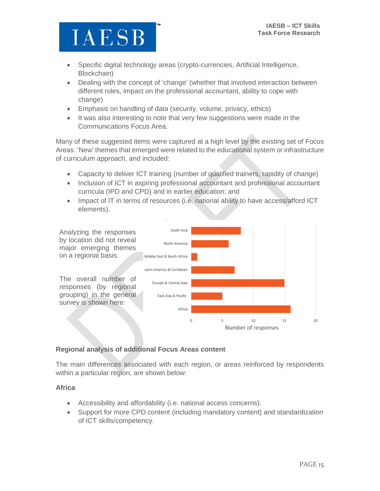

- Specific digital technology areas (crypto-currencies, Artificial Intelligence, Blockchain)
- Dealing with the concept of 'change' (whether that involved interaction between different roles, impact on the professional accountant, ability to cope with change)
- Emphasis on handling of data (security, volume, privacy, ethics)
- It was also interesting to note that very few suggestions were made in the Communications Focus Area.

Many of these suggested items were captured at a high level by the existing set of Focus Areas. 'New' themes that emerged were related to the educational system or infrastructure of curriculum approach, and included:

- Capacity to deliver ICT training (number of qualified trainers, rapidity of change)
- Inclusion of ICT in aspiring professional accountant and professional accountant curricula (IPD and CPD) and in earlier education; and
- Impact of IT in terms of resources (i.e. national ability to have access/afford ICT elements).



#### **Regional analysis of additional Focus Areas content**

The main differences associated with each region, or areas reinforced by respondents within a particular region, are shown below:

#### **Africa**

- Accessibility and affordability (i.e. national access concerns).
- Support for more CPD content (including mandatory content) and standardization of ICT skills/competency.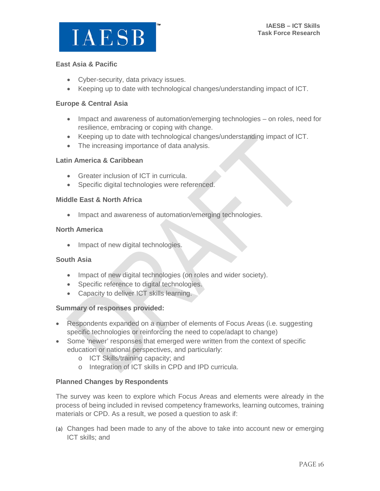

#### **East Asia & Pacific**

- Cyber-security, data privacy issues.
- Keeping up to date with technological changes/understanding impact of ICT.

#### **Europe & Central Asia**

- Impact and awareness of automation/emerging technologies on roles, need for resilience, embracing or coping with change.
- Keeping up to date with technological changes/understanding impact of ICT.
- The increasing importance of data analysis.

#### **Latin America & Caribbean**

- Greater inclusion of ICT in curricula.
- Specific digital technologies were referenced.

#### **Middle East & North Africa**

• Impact and awareness of automation/emerging technologies.

#### **North America**

• Impact of new digital technologies.

#### **South Asia**

- Impact of new digital technologies (on roles and wider society).
- Specific reference to digital technologies.
- Capacity to deliver ICT skills learning.

#### **Summary of responses provided:**

- Respondents expanded on a number of elements of Focus Areas (i.e. suggesting specific technologies or reinforcing the need to cope/adapt to change)
- Some 'newer' responses that emerged were written from the context of specific education or national perspectives, and particularly:
	- o ICT Skills/training capacity; and
	- o Integration of ICT skills in CPD and IPD curricula.

#### **Planned Changes by Respondents**

The survey was keen to explore which Focus Areas and elements were already in the process of being included in revised competency frameworks, learning outcomes, training materials or CPD. As a result, we posed a question to ask if:

(a) Changes had been made to any of the above to take into account new or emerging ICT skills; and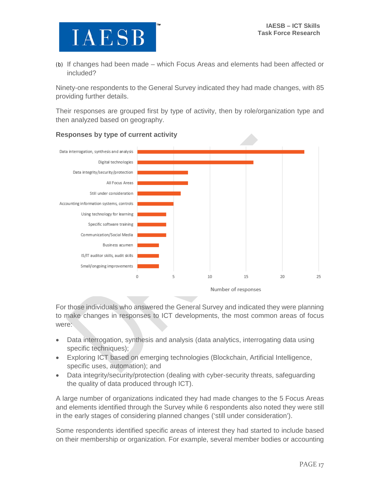(b) If changes had been made – which Focus Areas and elements had been affected or included?

Ninety-one respondents to the General Survey indicated they had made changes, with 85 providing further details.

Their responses are grouped first by type of activity, then by role/organization type and then analyzed based on geography.



### **Responses by type of current activity**

For those individuals who answered the General Survey and indicated they were planning to make changes in responses to ICT developments, the most common areas of focus were:

- Data interrogation, synthesis and analysis (data analytics, interrogating data using specific techniques);
- Exploring ICT based on emerging technologies (Blockchain, Artificial Intelligence, specific uses, automation); and
- Data integrity/security/protection (dealing with cyber-security threats, safeguarding the quality of data produced through ICT).

A large number of organizations indicated they had made changes to the 5 Focus Areas and elements identified through the Survey while 6 respondents also noted they were still in the early stages of considering planned changes ('still under consideration').

Some respondents identified specific areas of interest they had started to include based on their membership or organization. For example, several member bodies or accounting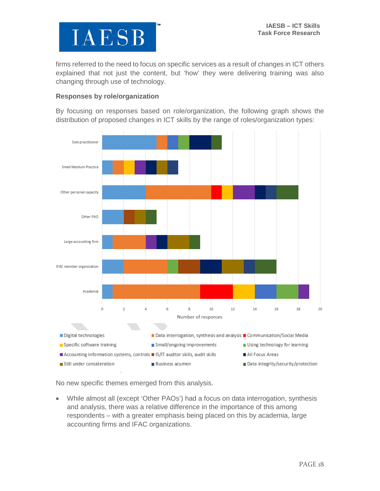

firms referred to the need to focus on specific services as a result of changes in ICT others explained that not just the content, but 'how' they were delivering training was also changing through use of technology.

#### **Responses by role/organization**

By focusing on responses based on role/organization, the following graph shows the distribution of proposed changes in ICT skills by the range of roles/organization types:



No new specific themes emerged from this analysis.

• While almost all (except 'Other PAOs') had a focus on data interrogation, synthesis and analysis, there was a relative difference in the importance of this among respondents – with a greater emphasis being placed on this by academia, large accounting firms and IFAC organizations.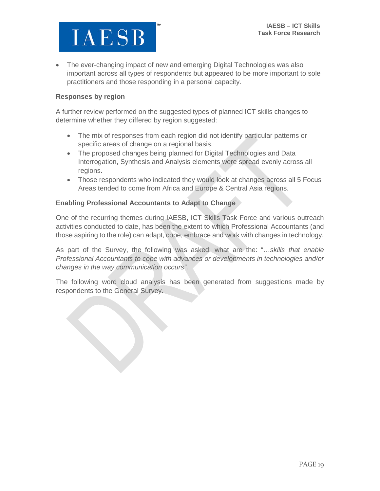

• The ever-changing impact of new and emerging Digital Technologies was also important across all types of respondents but appeared to be more important to sole practitioners and those responding in a personal capacity.

#### **Responses by region**

A further review performed on the suggested types of planned ICT skills changes to determine whether they differed by region suggested:

- The mix of responses from each region did not identify particular patterns or specific areas of change on a regional basis.
- The proposed changes being planned for Digital Technologies and Data Interrogation, Synthesis and Analysis elements were spread evenly across all regions.
- Those respondents who indicated they would look at changes across all 5 Focus Areas tended to come from Africa and Europe & Central Asia regions.

#### **Enabling Professional Accountants to Adapt to Change**

One of the recurring themes during IAESB, ICT Skills Task Force and various outreach activities conducted to date, has been the extent to which Professional Accountants (and those aspiring to the role) can adapt, cope, embrace and work with changes in technology.

As part of the Survey, the following was asked: what are the: "…*skills that enable Professional Accountants to cope with advances or developments in technologies and/or changes in the way communication occurs"*.

The following word cloud analysis has been generated from suggestions made by respondents to the General Survey.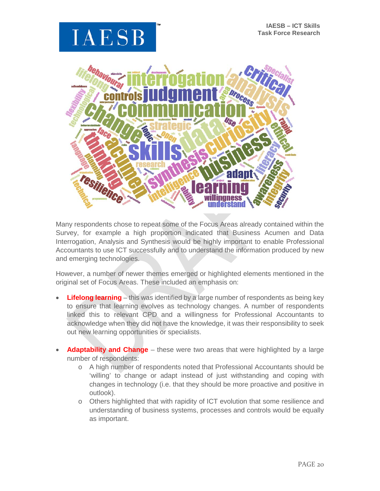



Many respondents chose to repeat some of the Focus Areas already contained within the Survey, for example a high proportion indicated that Business Acumen and Data Interrogation, Analysis and Synthesis would be highly important to enable Professional Accountants to use ICT successfully and to understand the information produced by new and emerging technologies.

However, a number of newer themes emerged or highlighted elements mentioned in the original set of Focus Areas. These included an emphasis on:

- **Lifelong learning** this was identified by a large number of respondents as being key to ensure that learning evolves as technology changes. A number of respondents linked this to relevant CPD and a willingness for Professional Accountants to acknowledge when they did not have the knowledge, it was their responsibility to seek out new learning opportunities or specialists.
- **Adaptability and Change** these were two areas that were highlighted by a large number of respondents:
	- o A high number of respondents noted that Professional Accountants should be 'willing' to change or adapt instead of just withstanding and coping with changes in technology (i.e. that they should be more proactive and positive in outlook).
	- o Others highlighted that with rapidity of ICT evolution that some resilience and understanding of business systems, processes and controls would be equally as important.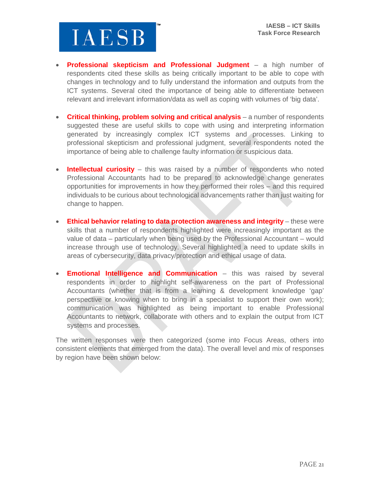

- **Professional skepticism and Professional Judgment** a high number of respondents cited these skills as being critically important to be able to cope with changes in technology and to fully understand the information and outputs from the ICT systems. Several cited the importance of being able to differentiate between relevant and irrelevant information/data as well as coping with volumes of 'big data'.
- **Critical thinking, problem solving and critical analysis** a number of respondents suggested these are useful skills to cope with using and interpreting information generated by increasingly complex ICT systems and processes. Linking to professional skepticism and professional judgment, several respondents noted the importance of being able to challenge faulty information or suspicious data.
- **Intellectual curiosity** this was raised by a number of respondents who noted Professional Accountants had to be prepared to acknowledge change generates opportunities for improvements in how they performed their roles – and this required individuals to be curious about technological advancements rather than just waiting for change to happen.
- **Ethical behavior relating to data protection awareness and integrity** these were skills that a number of respondents highlighted were increasingly important as the value of data – particularly when being used by the Professional Accountant – would increase through use of technology. Several highlighted a need to update skills in areas of cybersecurity, data privacy/protection and ethical usage of data.
- **Emotional Intelligence and Communication** this was raised by several respondents in order to highlight self-awareness on the part of Professional Accountants (whether that is from a learning & development knowledge 'gap' perspective or knowing when to bring in a specialist to support their own work); communication was highlighted as being important to enable Professional Accountants to network, collaborate with others and to explain the output from ICT systems and processes.

The written responses were then categorized (some into Focus Areas, others into consistent elements that emerged from the data). The overall level and mix of responses by region have been shown below: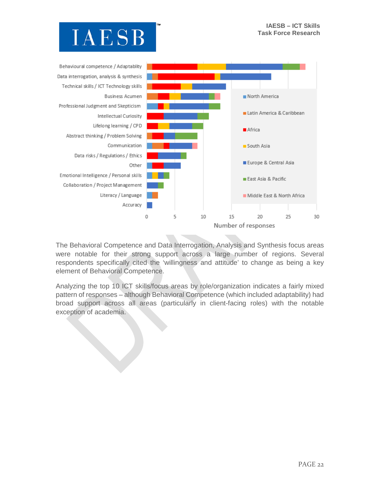



The Behavioral Competence and Data Interrogation, Analysis and Synthesis focus areas were notable for their strong support across a large number of regions. Several respondents specifically cited the 'willingness and attitude' to change as being a key element of Behavioral Competence.

Analyzing the top 10 ICT skills/focus areas by role/organization indicates a fairly mixed pattern of responses – although Behavioral Competence (which included adaptability) had broad support across all areas (particularly in client-facing roles) with the notable exception of academia.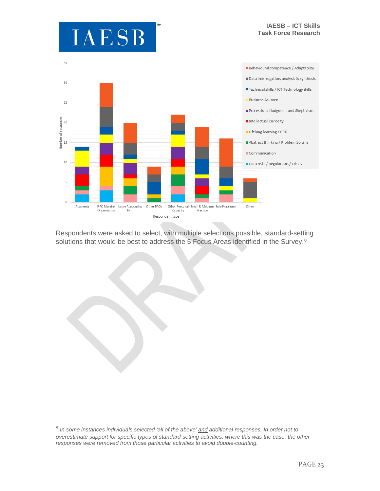



Respondents were asked to select, with multiple selections possible, standard-setting solutions that would be best to address the 5 Focus Areas identified in the Survey.<sup>[8](#page-23-0)</sup>

<span id="page-23-0"></span> <sup>8</sup> *In some instances individuals selected 'all of the above' and additional responses. In order not to overestimate support for specific types of standard-setting activities, where this was the case, the other responses were removed from those particular activities to avoid double-counting.*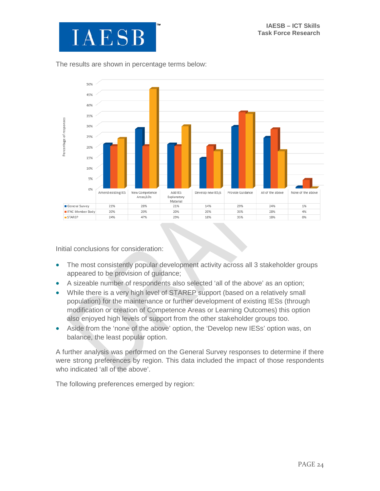

#### The results are shown in percentage terms below:



Initial conclusions for consideration:

- The most consistently popular development activity across all 3 stakeholder groups appeared to be provision of guidance;
- A sizeable number of respondents also selected 'all of the above' as an option;
- While there is a very high level of STAREP support (based on a relatively small population) for the maintenance or further development of existing IESs (through modification or creation of Competence Areas or Learning Outcomes) this option also enjoyed high levels of support from the other stakeholder groups too.
- Aside from the 'none of the above' option, the 'Develop new IESs' option was, on balance, the least popular option.

A further analysis was performed on the General Survey responses to determine if there were strong preferences by region. This data included the impact of those respondents who indicated 'all of the above'.

The following preferences emerged by region: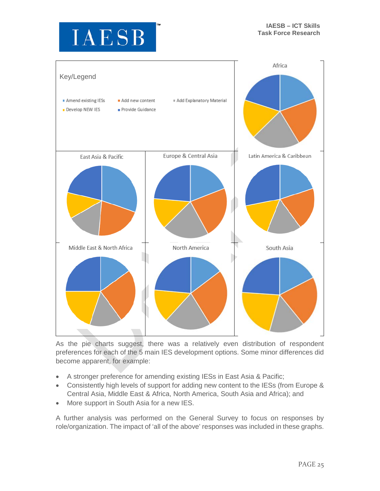



As the pie charts suggest, there was a relatively even distribution of respondent preferences for each of the 5 main IES development options. Some minor differences did become apparent, for example:

- A stronger preference for amending existing IESs in East Asia & Pacific;
- Consistently high levels of support for adding new content to the IESs (from Europe & Central Asia, Middle East & Africa, North America, South Asia and Africa); and
- More support in South Asia for a new IES.

A further analysis was performed on the General Survey to focus on responses by role/organization. The impact of 'all of the above' responses was included in these graphs.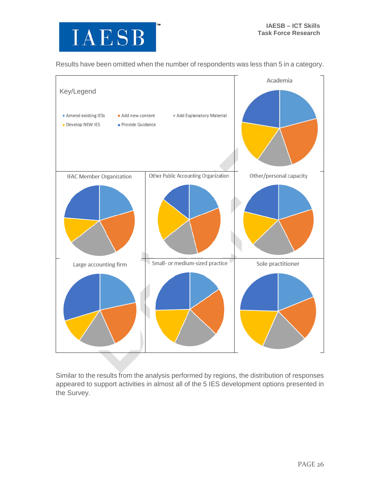

Results have been omitted when the number of respondents was less than 5 in a category.



Similar to the results from the analysis performed by regions, the distribution of responses appeared to support activities in almost all of the 5 IES development options presented in the Survey.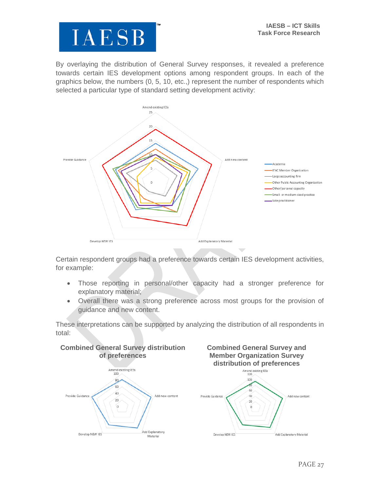

By overlaying the distribution of General Survey responses, it revealed a preference towards certain IES development options among respondent groups. In each of the graphics below, the numbers (0, 5, 10, etc.,) represent the number of respondents which selected a particular type of standard setting development activity:



Certain respondent groups had a preference towards certain IES development activities, for example:

- Those reporting in personal/other capacity had a stronger preference for explanatory material;
- Overall there was a strong preference across most groups for the provision of guidance and new content.

These interpretations can be supported by analyzing the distribution of all respondents in total:





Add Explanatory Material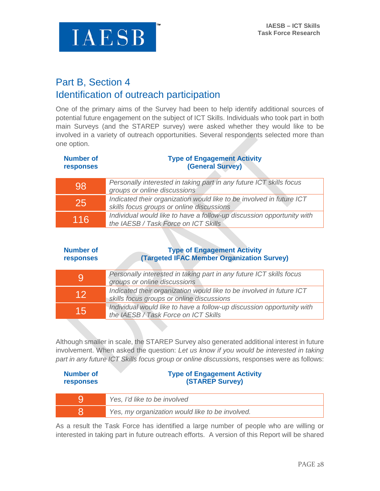

## Part B, Section 4 Identification of outreach participation

One of the primary aims of the Survey had been to help identify additional sources of potential future engagement on the subject of ICT Skills. Individuals who took part in both main Surveys (and the STAREP survey) were asked whether they would like to be involved in a variety of outreach opportunities. Several respondents selected more than one option.

| <b>Number of</b><br><b>responses</b> | <b>Type of Engagement Activity</b><br>(General Survey)                                                            |
|--------------------------------------|-------------------------------------------------------------------------------------------------------------------|
| <b>98</b>                            | Personally interested in taking part in any future ICT skills focus<br>groups or online discussions               |
| <b>25</b>                            | Indicated their organization would like to be involved in future ICT<br>skills focus groups or online discussions |
|                                      |                                                                                                                   |

| 116 | Individual would like to have a follow-up discussion opportunity with |
|-----|-----------------------------------------------------------------------|
|     | the IAESB / Task Force on ICT Skills                                  |

#### **Number of responses Type of Engagement Activity (Targeted IFAC Member Organization Survey)**

| 9  | Personally interested in taking part in any future ICT skills focus<br>groups or online discussions               |
|----|-------------------------------------------------------------------------------------------------------------------|
| 12 | Indicated their organization would like to be involved in future ICT<br>skills focus groups or online discussions |
| 15 | Individual would like to have a follow-up discussion opportunity with<br>the IAESB / Task Force on ICT Skills     |
|    |                                                                                                                   |

Although smaller in scale, the STAREP Survey also generated additional interest in future involvement. When asked the question: *Let us know if you would be interested in taking part in any future ICT Skills focus group or online discussion*s, responses were as follows:

| Number of<br><b>responses</b> | <b>Type of Engagement Activity</b><br><b>(STAREP Survey)</b> |
|-------------------------------|--------------------------------------------------------------|
|                               | Yes, I'd like to be involved                                 |
|                               | Yes, my organization would like to be involved.              |

As a result the Task Force has identified a large number of people who are willing or interested in taking part in future outreach efforts. A version of this Report will be shared